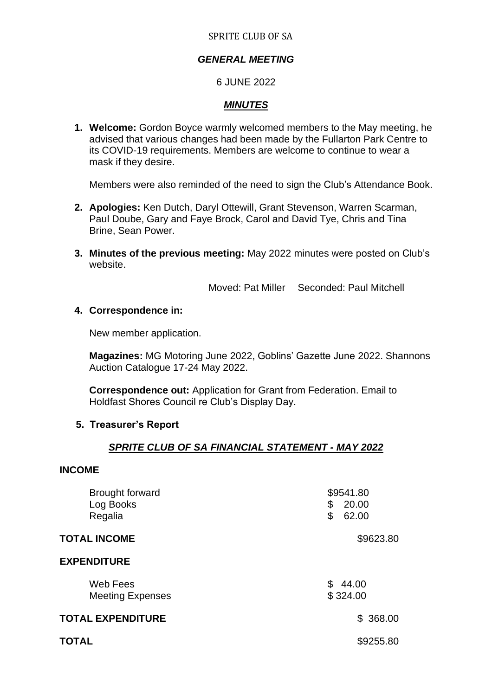#### SPRITE CLUB OF SA

# *GENERAL MEETING*

## 6 JUNE 2022

# *MINUTES*

**1. Welcome:** Gordon Boyce warmly welcomed members to the May meeting, he advised that various changes had been made by the Fullarton Park Centre to its COVID-19 requirements. Members are welcome to continue to wear a mask if they desire.

Members were also reminded of the need to sign the Club's Attendance Book.

- **2. Apologies:** Ken Dutch, Daryl Ottewill, Grant Stevenson, Warren Scarman, Paul Doube, Gary and Faye Brock, Carol and David Tye, Chris and Tina Brine, Sean Power.
- **3. Minutes of the previous meeting:** May 2022 minutes were posted on Club's website.

Moved: Pat Miller Seconded: Paul Mitchell

## **4. Correspondence in:**

New member application.

**Magazines:** MG Motoring June 2022, Goblins' Gazette June 2022. Shannons Auction Catalogue 17-24 May 2022.

**Correspondence out:** Application for Grant from Federation. Email to Holdfast Shores Council re Club's Display Day.

## **5. Treasurer's Report**

## *SPRITE CLUB OF SA FINANCIAL STATEMENT - MAY 2022*

## **INCOME**

| <b>Brought forward</b><br>Log Books<br>Regalia | \$9541.80<br>\$<br>20.00<br>\$<br>62.00 |
|------------------------------------------------|-----------------------------------------|
| <b>TOTAL INCOME</b>                            | \$9623.80                               |
| <b>EXPENDITURE</b>                             |                                         |
| Web Fees<br><b>Meeting Expenses</b>            | \$<br>44.00<br>\$324.00                 |
| <b>TOTAL EXPENDITURE</b>                       | \$368.00                                |
| TOTAL                                          | \$9255.80                               |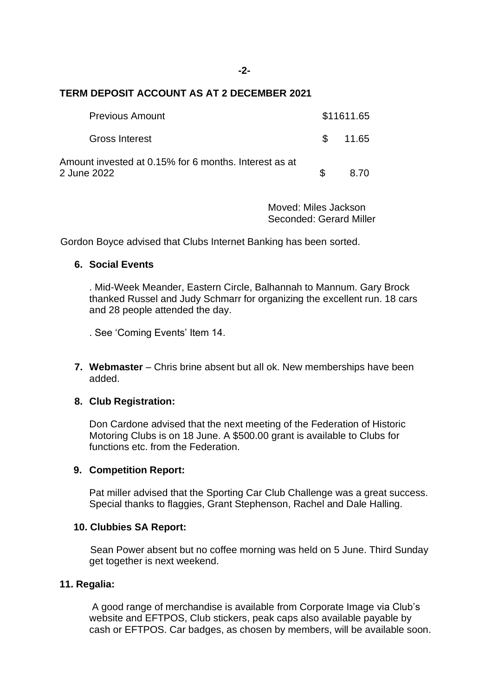#### **TERM DEPOSIT ACCOUNT AS AT 2 DECEMBER 2021**

| <b>Previous Amount</b>                                               |               | \$11611.65 |
|----------------------------------------------------------------------|---------------|------------|
| <b>Gross Interest</b>                                                | $\mathcal{S}$ | 11.65      |
| Amount invested at 0.15% for 6 months. Interest as at<br>2 June 2022 |               | 8.70       |

Moved: Miles Jackson Seconded: Gerard Miller

Gordon Boyce advised that Clubs Internet Banking has been sorted.

## **6. Social Events**

. Mid-Week Meander, Eastern Circle, Balhannah to Mannum. Gary Brock thanked Russel and Judy Schmarr for organizing the excellent run. 18 cars and 28 people attended the day.

. See 'Coming Events' Item 14.

**7. Webmaster** – Chris brine absent but all ok. New memberships have been added.

## **8. Club Registration:**

Don Cardone advised that the next meeting of the Federation of Historic Motoring Clubs is on 18 June. A \$500.00 grant is available to Clubs for functions etc. from the Federation.

#### **9. Competition Report:**

Pat miller advised that the Sporting Car Club Challenge was a great success. Special thanks to flaggies, Grant Stephenson, Rachel and Dale Halling.

#### **10. Clubbies SA Report:**

Sean Power absent but no coffee morning was held on 5 June. Third Sunday get together is next weekend.

## **11. Regalia:**

A good range of merchandise is available from Corporate Image via Club's website and EFTPOS, Club stickers, peak caps also available payable by cash or EFTPOS. Car badges, as chosen by members, will be available soon.